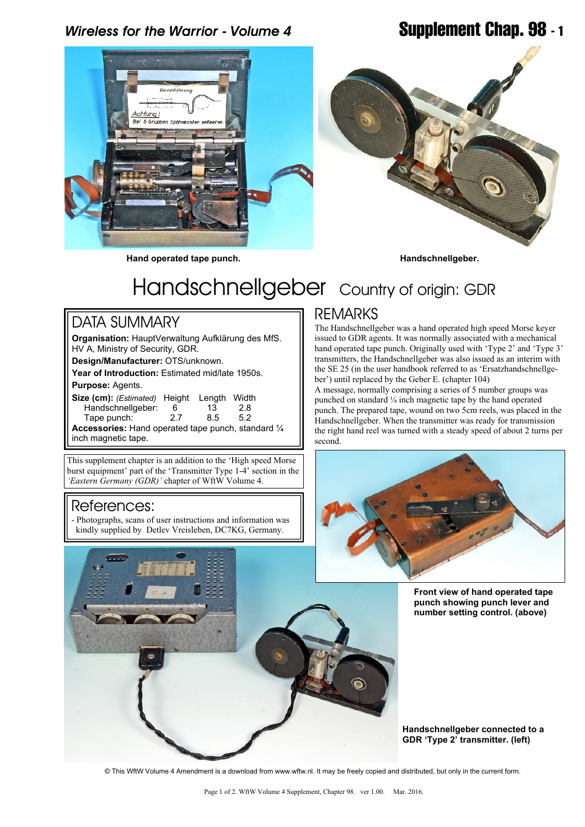## *Wireless for the Warrior - Volume 4* **Supplement Chap. 98 - 1**



**Hand operated tape punch. Handschnellgeber.**



# Handschnellgeber Country of origin: GDR

### DATA SUMMARY

**Organisation:** HauptVerwaltung Aufklärung des MfS. HV A, Ministry of Security, GDR.

**Design/Manufacturer:** OTS/unknown.

**Year of Introduction:** Estimated mid/late 1950s.

### **Purpose:** Agents.

**Size (cm):** *(Estimated)* Height Length Width Handschnellgeber: Tape punch: 2.7 8.5 5.2 **Accessories:** Hand operated tape punch, standard ¼ inch magnetic tape.

This supplement chapter is an addition to the 'High speed Morse burst equipment' part of the 'Transmitter Type 1-4' section in the

*'Eastern Germany (GDR)'* chapter of WftW Volume 4.

References:

- Photographs, scans of user instructions and information was kindly supplied by Detlev Vreisleben, DC7KG, Germany.

### REMARKS

The Handschnellgeber was a hand operated high speed Morse keyer issued to GDR agents. It was normally associated with a mechanical hand operated tape punch. Originally used with 'Type 2' and 'Type 3' transmitters, the Handschnellgeber was also issued as an interim with the SE 25 (in the user handbook referred to as 'Ersatzhandschnellgeber') until replaced by the Geber E. (chapter 104)

A message, normally comprising a series of 5 number groups was punched on standard ¼ inch magnetic tape by the hand operated punch. The prepared tape, wound on two 5cm reels, was placed in the Handschnellgeber. When the transmitter was ready for transmission the right hand reel was turned with a steady speed of about 2 turns per second.



**Front view of hand operated tape punch showing punch lever and number setting control. (above)**



**Handschnellgeber connected to a GDR 'Type 2' transmitter. (left)**

© This WftW Volume 4 Amendment is a download from www.wftw.nl. It may be freely copied and distributed, but only in the current form.